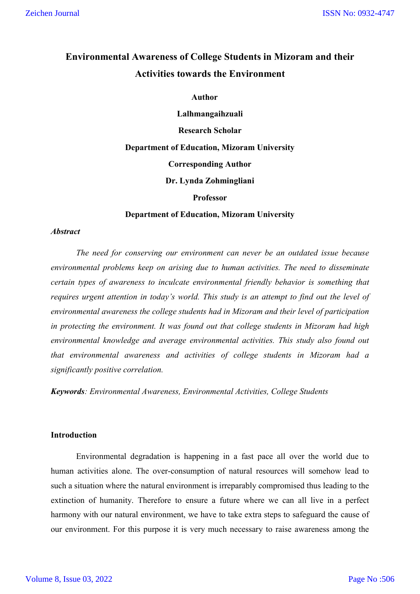# **Environmental Awareness of College Students in Mizoram and their Activities towards the Environment**

#### **Author**

**Lalhmangaihzuali Research Scholar Department of Education, Mizoram University Corresponding Author Dr. Lynda Zohmingliani Professor**

#### **Department of Education, Mizoram University**

#### *Abstract*

*The need for conserving our environment can never be an outdated issue because environmental problems keep on arising due to human activities. The need to disseminate certain types of awareness to inculcate environmental friendly behavior is something that requires urgent attention in today's world. This study is an attempt to find out the level of environmental awareness the college students had in Mizoram and their level of participation in protecting the environment. It was found out that college students in Mizoram had high environmental knowledge and average environmental activities. This study also found out that environmental awareness and activities of college students in Mizoram had a significantly positive correlation.*

*Keywords: Environmental Awareness, Environmental Activities, College Students*

## **Introduction**

Environmental degradation is happening in a fast pace all over the world due to human activities alone. The over-consumption of natural resources will somehow lead to such a situation where the natural environment is irreparably compromised thus leading to the extinction of humanity. Therefore to ensure a future where we can all live in a perfect harmony with our natural environment, we have to take extra steps to safeguard the cause of our environment. For this purpose it is very much necessary to raise awareness among the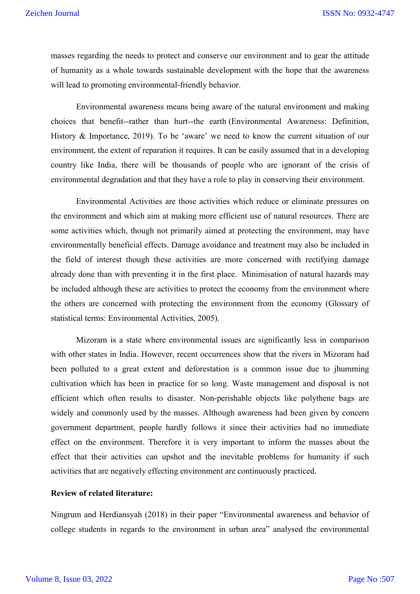masses regarding the needs to protect and conserve our environment and to gear the attitude of humanity as a whole towards sustainable development with the hope that the awareness will lead to promoting environmental-friendly behavior.

Environmental awareness means being aware of the natural environment and making choices that benefit--rather than hurt--the earth (Environmental Awareness: Definition, History & Importance, 2019). To be 'aware' we need to know the current situation of our environment, the extent of reparation it requires. It can be easily assumed that in a developing country like India, there will be thousands of people who are ignorant of the crisis of environmental degradation and that they have a role to play in conserving their environment.

Environmental Activities are those activities which reduce or eliminate pressures on the environment and which aim at making more efficient use of natural resources. There are some activities which, though not primarily aimed at protecting the environment, may have environmentally beneficial effects. Damage avoidance and treatment may also be included in the field of interest though these activities are more concerned with rectifying damage already done than with preventing it in the first place. Minimisation of natural hazards may be included although these are activities to protect the economy from the environment where the others are concerned with protecting the environment from the economy (Glossary of statistical terms: Environmental Activities, 2005).

Mizoram is a state where environmental issues are significantly less in comparison with other states in India. However, recent occurrences show that the rivers in Mizoram had been polluted to a great extent and deforestation is a common issue due to jhumming cultivation which has been in practice for so long. Waste management and disposal is not efficient which often results to disaster. Non-perishable objects like polythene bags are widely and commonly used by the masses. Although awareness had been given by concern government department, people hardly follows it since their activities had no immediate effect on the environment. Therefore it is very important to inform the masses about the effect that their activities can upshot and the inevitable problems for humanity if such activities that are negatively effecting environment are continuously practiced.

## **Review of related literature:**

Ningrum and Herdiansyah (2018) in their paper "Environmental awareness and behavior of college students in regards to the environment in urban area" analysed the environmental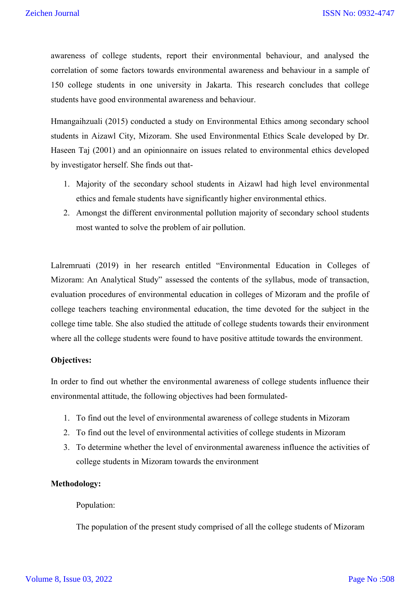awareness of college students, report their environmental behaviour, and analysed the correlation of some factors towards environmental awareness and behaviour in a sample of 150 college students in one university in Jakarta. This research concludes that college students have good environmental awareness and behaviour.

Hmangaihzuali (2015) conducted a study on Environmental Ethics among secondary school students in Aizawl City, Mizoram. She used Environmental Ethics Scale developed by Dr. Haseen Taj (2001) and an opinionnaire on issues related to environmental ethics developed by investigator herself. She finds out that-

- 1. Majority of the secondary school students in Aizawl had high level environmental ethics and female students have significantly higher environmental ethics.
- 2. Amongst the different environmental pollution majority of secondary school students most wanted to solve the problem of air pollution.

Lalremruati (2019) in her research entitled "Environmental Education in Colleges of Mizoram: An Analytical Study" assessed the contents of the syllabus, mode of transaction, evaluation procedures of environmental education in colleges of Mizoram and the profile of college teachers teaching environmental education, the time devoted for the subject in the college time table. She also studied the attitude of college students towards their environment where all the college students were found to have positive attitude towards the environment.

#### **Objectives:**

In order to find out whether the environmental awareness of college students influence their environmental attitude, the following objectives had been formulated-

- 1. To find out the level of environmental awareness of college students in Mizoram
- 2. To find out the level of environmental activities of college students in Mizoram
- 3. To determine whether the level of environmental awareness influence the activities of college students in Mizoram towards the environment

## **Methodology:**

#### Population:

The population of the present study comprised of all the college students of Mizoram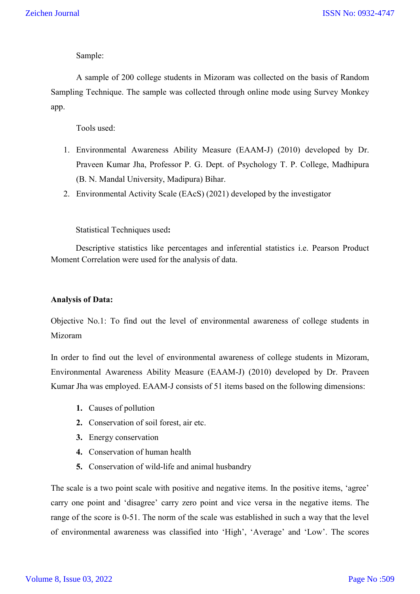Sample:

A sample of 200 college students in Mizoram was collected on the basis of Random Sampling Technique. The sample was collected through online mode using Survey Monkey app.

Tools used:

- 1. Environmental Awareness Ability Measure (EAAM-J) (2010) developed by Dr. Praveen Kumar Jha, Professor P. G. Dept. of Psychology T. P. College, Madhipura (B. N. Mandal University, Madipura) Bihar.
- 2. Environmental Activity Scale (EAcS) (2021) developed by the investigator

Statistical Techniques used**:** 

Descriptive statistics like percentages and inferential statistics i.e. Pearson Product Moment Correlation were used for the analysis of data.

## **Analysis of Data:**

Objective No.1: To find out the level of environmental awareness of college students in Mizoram

In order to find out the level of environmental awareness of college students in Mizoram, Environmental Awareness Ability Measure (EAAM-J) (2010) developed by Dr. Praveen Kumar Jha was employed. EAAM-J consists of 51 items based on the following dimensions:

- **1.** Causes of pollution
- **2.** Conservation of soil forest, air etc.
- **3.** Energy conservation
- **4.** Conservation of human health
- **5.** Conservation of wild-life and animal husbandry

The scale is a two point scale with positive and negative items. In the positive items, 'agree' carry one point and 'disagree' carry zero point and vice versa in the negative items. The range of the score is 0-51. The norm of the scale was established in such a way that the level of environmental awareness was classified into 'High', 'Average' and 'Low'. The scores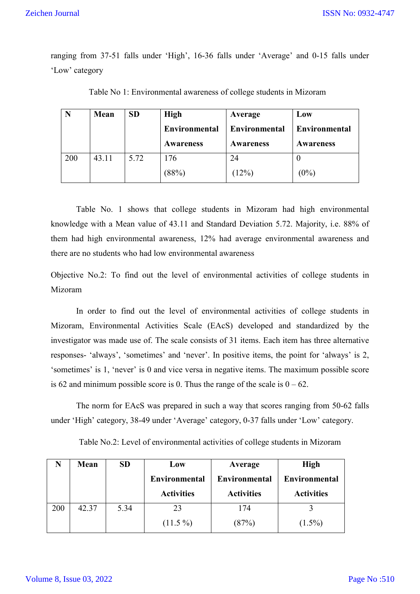ISSN No: 0932-4747

ranging from 37-51 falls under 'High', 16-36 falls under 'Average' and 0-15 falls under 'Low' category

|     | Mean  | <b>SD</b> | <b>High</b>   | Average              | Low              |  |
|-----|-------|-----------|---------------|----------------------|------------------|--|
|     |       |           | Environmental | <b>Environmental</b> | Environmental    |  |
|     |       |           | Awareness     | <b>Awareness</b>     | <b>Awareness</b> |  |
| 200 | 43.11 | 5.72      | 176           |                      |                  |  |
|     |       |           | (88%)         | (12%)                | (0%)             |  |

Table No 1: Environmental awareness of college students in Mizoram

Table No. 1 shows that college students in Mizoram had high environmental knowledge with a Mean value of 43.11 and Standard Deviation 5.72. Majority, i.e. 88% of them had high environmental awareness, 12% had average environmental awareness and there are no students who had low environmental awareness

Objective No.2: To find out the level of environmental activities of college students in Mizoram

In order to find out the level of environmental activities of college students in Mizoram, Environmental Activities Scale (EAcS) developed and standardized by the investigator was made use of. The scale consists of 31 items. Each item has three alternative responses- 'always', 'sometimes' and 'never'. In positive items, the point for 'always' is 2, 'sometimes' is 1, 'never' is 0 and vice versa in negative items. The maximum possible score is 62 and minimum possible score is 0. Thus the range of the scale is  $0 - 62$ .

The norm for EAcS was prepared in such a way that scores ranging from 50-62 falls under 'High' category, 38-49 under 'Average' category, 0-37 falls under 'Low' category.

Table No.2: Level of environmental activities of college students in Mizoram

|     | Mean  | <b>SD</b> | Low                                       | Average                            | <b>High</b>                               |
|-----|-------|-----------|-------------------------------------------|------------------------------------|-------------------------------------------|
|     |       |           | <b>Environmental</b><br><b>Activities</b> | Environmental<br><b>Activities</b> | <b>Environmental</b><br><b>Activities</b> |
| 200 | 42.37 | 5.34      | 23<br>$(11.5\%)$                          | 174<br>$87\%$                      | $(1.5\%)$                                 |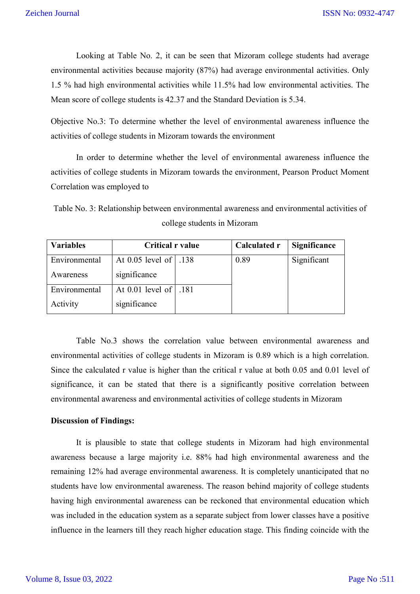Looking at Table No. 2, it can be seen that Mizoram college students had average environmental activities because majority (87%) had average environmental activities. Only 1.5 % had high environmental activities while 11.5% had low environmental activities. The Mean score of college students is 42.37 and the Standard Deviation is 5.34.

Objective No.3: To determine whether the level of environmental awareness influence the activities of college students in Mizoram towards the environment

 In order to determine whether the level of environmental awareness influence the activities of college students in Mizoram towards the environment, Pearson Product Moment Correlation was employed to

Table No. 3: Relationship between environmental awareness and environmental activities of college students in Mizoram

| <b>Variables</b> | <b>Critical r value</b> | Calculated r | Significance |
|------------------|-------------------------|--------------|--------------|
| Environmental    | At 0.05 level of   .138 | 0.89         | Significant  |
| Awareness        | significance            |              |              |
| Environmental    | At 0.01 level of   .181 |              |              |
| Activity         | significance            |              |              |

Table No.3 shows the correlation value between environmental awareness and environmental activities of college students in Mizoram is 0.89 which is a high correlation. Since the calculated r value is higher than the critical r value at both 0.05 and 0.01 level of significance, it can be stated that there is a significantly positive correlation between environmental awareness and environmental activities of college students in Mizoram

## **Discussion of Findings:**

It is plausible to state that college students in Mizoram had high environmental awareness because a large majority i.e. 88% had high environmental awareness and the remaining 12% had average environmental awareness. It is completely unanticipated that no students have low environmental awareness. The reason behind majority of college students having high environmental awareness can be reckoned that environmental education which was included in the education system as a separate subject from lower classes have a positive influence in the learners till they reach higher education stage. This finding coincide with the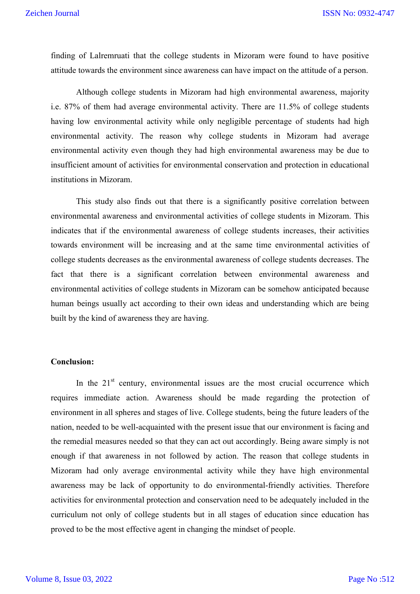finding of Lalremruati that the college students in Mizoram were found to have positive attitude towards the environment since awareness can have impact on the attitude of a person.

Although college students in Mizoram had high environmental awareness, majority i.e. 87% of them had average environmental activity. There are 11.5% of college students having low environmental activity while only negligible percentage of students had high environmental activity. The reason why college students in Mizoram had average environmental activity even though they had high environmental awareness may be due to insufficient amount of activities for environmental conservation and protection in educational institutions in Mizoram.

This study also finds out that there is a significantly positive correlation between environmental awareness and environmental activities of college students in Mizoram. This indicates that if the environmental awareness of college students increases, their activities towards environment will be increasing and at the same time environmental activities of college students decreases as the environmental awareness of college students decreases. The fact that there is a significant correlation between environmental awareness and environmental activities of college students in Mizoram can be somehow anticipated because human beings usually act according to their own ideas and understanding which are being built by the kind of awareness they are having.

# **Conclusion:**

In the  $21<sup>st</sup>$  century, environmental issues are the most crucial occurrence which requires immediate action. Awareness should be made regarding the protection of environment in all spheres and stages of live. College students, being the future leaders of the nation, needed to be well-acquainted with the present issue that our environment is facing and the remedial measures needed so that they can act out accordingly. Being aware simply is not enough if that awareness in not followed by action. The reason that college students in Mizoram had only average environmental activity while they have high environmental awareness may be lack of opportunity to do environmental-friendly activities. Therefore activities for environmental protection and conservation need to be adequately included in the curriculum not only of college students but in all stages of education since education has proved to be the most effective agent in changing the mindset of people.